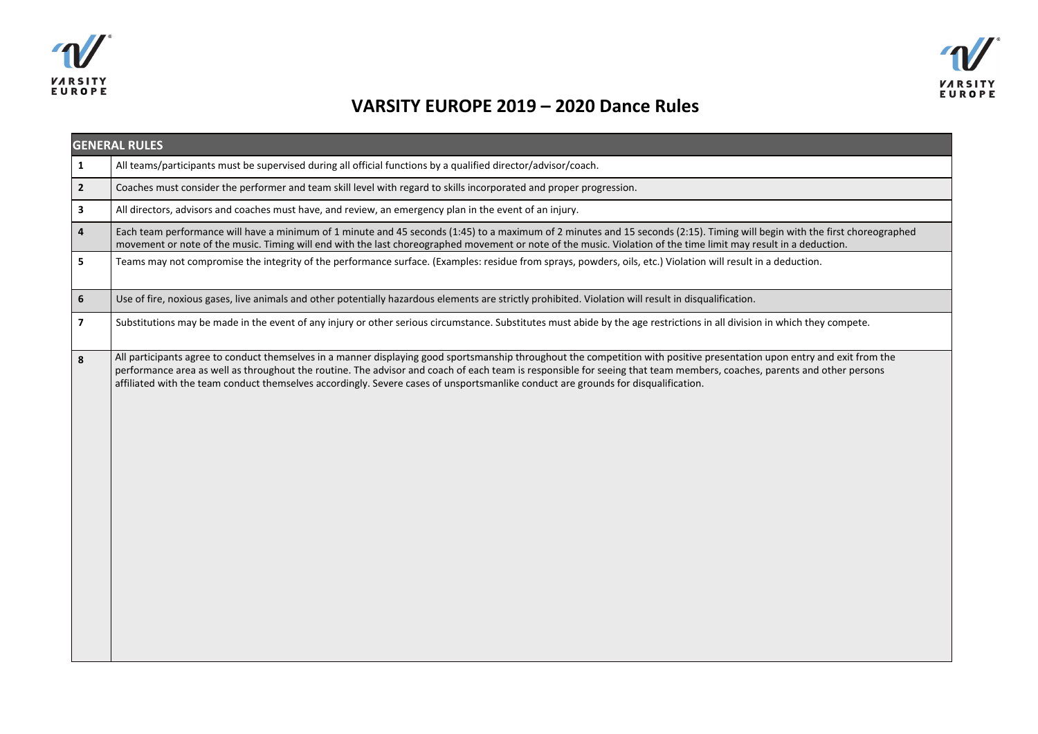



## **VARSITY EUROPE 2019 – 2020 Dance Rules**

| <b>GENERAL RULES</b>     |                                                                                                                                                                                                                                                                                                                                                                                                                                                                                           |  |
|--------------------------|-------------------------------------------------------------------------------------------------------------------------------------------------------------------------------------------------------------------------------------------------------------------------------------------------------------------------------------------------------------------------------------------------------------------------------------------------------------------------------------------|--|
| $\mathbf{1}$             | All teams/participants must be supervised during all official functions by a qualified director/advisor/coach.                                                                                                                                                                                                                                                                                                                                                                            |  |
| $\overline{2}$           | Coaches must consider the performer and team skill level with regard to skills incorporated and proper progression.                                                                                                                                                                                                                                                                                                                                                                       |  |
| 3                        | All directors, advisors and coaches must have, and review, an emergency plan in the event of an injury.                                                                                                                                                                                                                                                                                                                                                                                   |  |
| 4                        | Each team performance will have a minimum of 1 minute and 45 seconds (1:45) to a maximum of 2 minutes and 15 seconds (2:15). Timing will begin with the first choreographed<br>movement or note of the music. Timing will end with the last choreographed movement or note of the music. Violation of the time limit may result in a deduction.                                                                                                                                           |  |
| 5                        | Teams may not compromise the integrity of the performance surface. (Examples: residue from sprays, powders, oils, etc.) Violation will result in a deduction.                                                                                                                                                                                                                                                                                                                             |  |
| 6                        | Use of fire, noxious gases, live animals and other potentially hazardous elements are strictly prohibited. Violation will result in disqualification.                                                                                                                                                                                                                                                                                                                                     |  |
| $\overline{\phantom{a}}$ | Substitutions may be made in the event of any injury or other serious circumstance. Substitutes must abide by the age restrictions in all division in which they compete.                                                                                                                                                                                                                                                                                                                 |  |
| 8                        | All participants agree to conduct themselves in a manner displaying good sportsmanship throughout the competition with positive presentation upon entry and exit from the<br>performance area as well as throughout the routine. The advisor and coach of each team is responsible for seeing that team members, coaches, parents and other persons<br>affiliated with the team conduct themselves accordingly. Severe cases of unsportsmanlike conduct are grounds for disqualification. |  |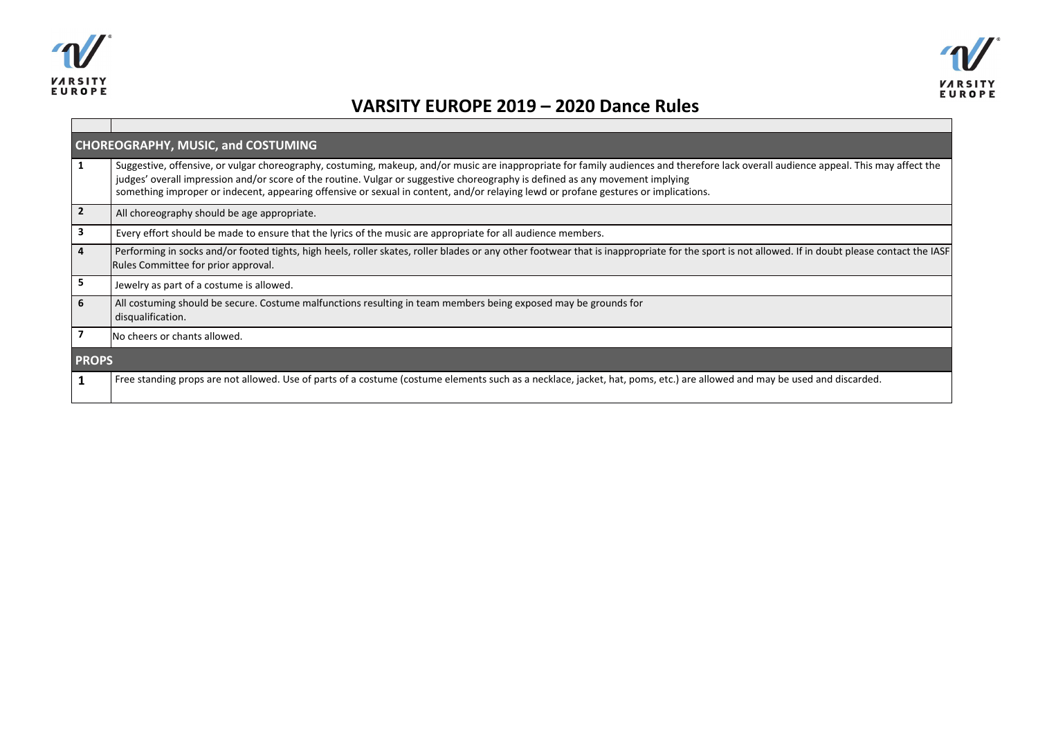



## **VARSITY EUROPE 2019 – 2020 Dance Rules**

| <b>CHOREOGRAPHY, MUSIC, and COSTUMING</b> |                                                                                                                                                                                                                                                                                                                                                                                                                                                               |  |
|-------------------------------------------|---------------------------------------------------------------------------------------------------------------------------------------------------------------------------------------------------------------------------------------------------------------------------------------------------------------------------------------------------------------------------------------------------------------------------------------------------------------|--|
|                                           | Suggestive, offensive, or vulgar choreography, costuming, makeup, and/or music are inappropriate for family audiences and therefore lack overall audience appeal. This may affect the<br>judges' overall impression and/or score of the routine. Vulgar or suggestive choreography is defined as any movement implying<br>something improper or indecent, appearing offensive or sexual in content, and/or relaying lewd or profane gestures or implications. |  |
| $\overline{2}$                            | All choreography should be age appropriate.                                                                                                                                                                                                                                                                                                                                                                                                                   |  |
| 3                                         | Every effort should be made to ensure that the lyrics of the music are appropriate for all audience members.                                                                                                                                                                                                                                                                                                                                                  |  |
| 4                                         | Performing in socks and/or footed tights, high heels, roller skates, roller blades or any other footwear that is inappropriate for the sport is not allowed. If in doubt please contact the IASF<br>Rules Committee for prior approval.                                                                                                                                                                                                                       |  |
| 5                                         | Jewelry as part of a costume is allowed.                                                                                                                                                                                                                                                                                                                                                                                                                      |  |
| 6                                         | All costuming should be secure. Costume malfunctions resulting in team members being exposed may be grounds for<br>disqualification.                                                                                                                                                                                                                                                                                                                          |  |
|                                           | INo cheers or chants allowed.                                                                                                                                                                                                                                                                                                                                                                                                                                 |  |
| <b>PROPS</b>                              |                                                                                                                                                                                                                                                                                                                                                                                                                                                               |  |
|                                           | Free standing props are not allowed. Use of parts of a costume (costume elements such as a necklace, jacket, hat, poms, etc.) are allowed and may be used and discarded.                                                                                                                                                                                                                                                                                      |  |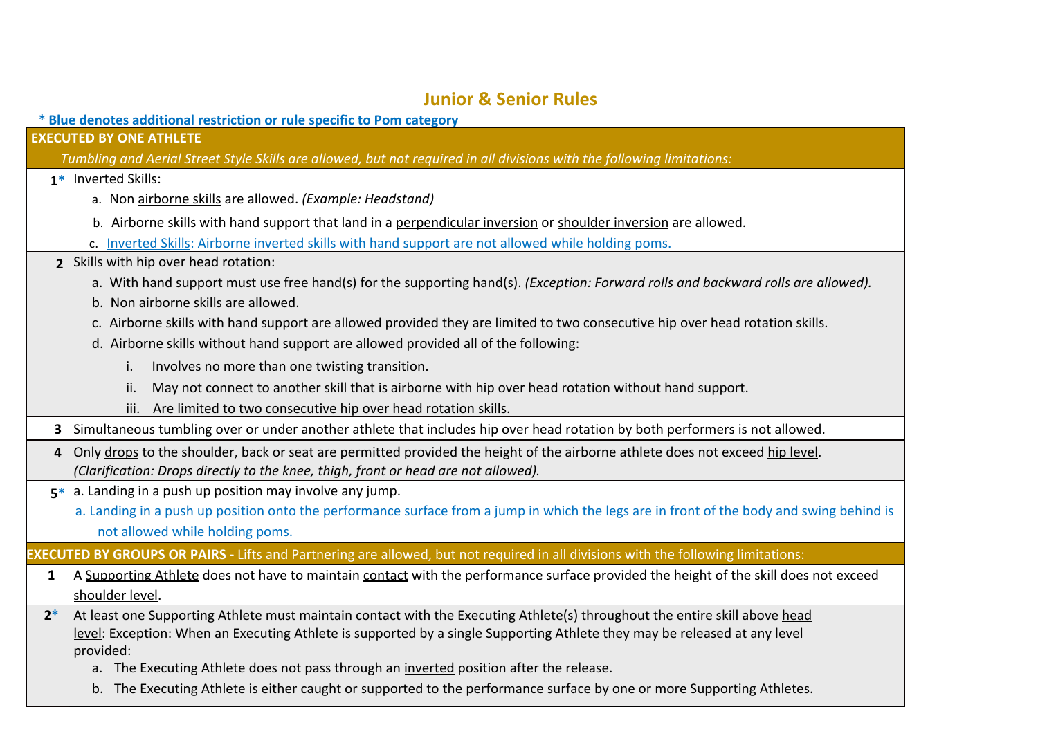## **Junior & Senior Rules**

|                                | * Blue denotes additional restriction or rule specific to Pom category                                                                   |  |  |  |
|--------------------------------|------------------------------------------------------------------------------------------------------------------------------------------|--|--|--|
| <b>EXECUTED BY ONE ATHLETE</b> |                                                                                                                                          |  |  |  |
|                                | Tumbling and Aerial Street Style Skills are allowed, but not required in all divisions with the following limitations:                   |  |  |  |
| $1*$                           | <b>Inverted Skills:</b>                                                                                                                  |  |  |  |
|                                | a. Non airborne skills are allowed. (Example: Headstand)                                                                                 |  |  |  |
|                                | b. Airborne skills with hand support that land in a perpendicular inversion or shoulder inversion are allowed.                           |  |  |  |
|                                | c. Inverted Skills: Airborne inverted skills with hand support are not allowed while holding poms.                                       |  |  |  |
| $\overline{2}$                 | Skills with hip over head rotation:                                                                                                      |  |  |  |
|                                | a. With hand support must use free hand(s) for the supporting hand(s). (Exception: Forward rolls and backward rolls are allowed).        |  |  |  |
|                                | b. Non airborne skills are allowed.                                                                                                      |  |  |  |
|                                | c. Airborne skills with hand support are allowed provided they are limited to two consecutive hip over head rotation skills.             |  |  |  |
|                                | d. Airborne skills without hand support are allowed provided all of the following:                                                       |  |  |  |
|                                | Involves no more than one twisting transition.<br>İ.                                                                                     |  |  |  |
|                                | May not connect to another skill that is airborne with hip over head rotation without hand support.<br>ii.                               |  |  |  |
|                                | iii. Are limited to two consecutive hip over head rotation skills.                                                                       |  |  |  |
| 3                              | Simultaneous tumbling over or under another athlete that includes hip over head rotation by both performers is not allowed.              |  |  |  |
| 4                              | Only drops to the shoulder, back or seat are permitted provided the height of the airborne athlete does not exceed hip level.            |  |  |  |
|                                | (Clarification: Drops directly to the knee, thigh, front or head are not allowed).                                                       |  |  |  |
| $5*$                           | a. Landing in a push up position may involve any jump.                                                                                   |  |  |  |
|                                | a. Landing in a push up position onto the performance surface from a jump in which the legs are in front of the body and swing behind is |  |  |  |
|                                | not allowed while holding poms.                                                                                                          |  |  |  |
|                                | EXECUTED BY GROUPS OR PAIRS - Lifts and Partnering are allowed, but not required in all divisions with the following limitations:        |  |  |  |
| $\mathbf{1}$                   | A Supporting Athlete does not have to maintain contact with the performance surface provided the height of the skill does not exceed     |  |  |  |
|                                | shoulder level.                                                                                                                          |  |  |  |
| $2*$                           | At least one Supporting Athlete must maintain contact with the Executing Athlete(s) throughout the entire skill above head               |  |  |  |
|                                | level: Exception: When an Executing Athlete is supported by a single Supporting Athlete they may be released at any level                |  |  |  |
|                                | provided:<br>a. The Executing Athlete does not pass through an inverted position after the release.                                      |  |  |  |
|                                | b. The Executing Athlete is either caught or supported to the performance surface by one or more Supporting Athletes.                    |  |  |  |
|                                |                                                                                                                                          |  |  |  |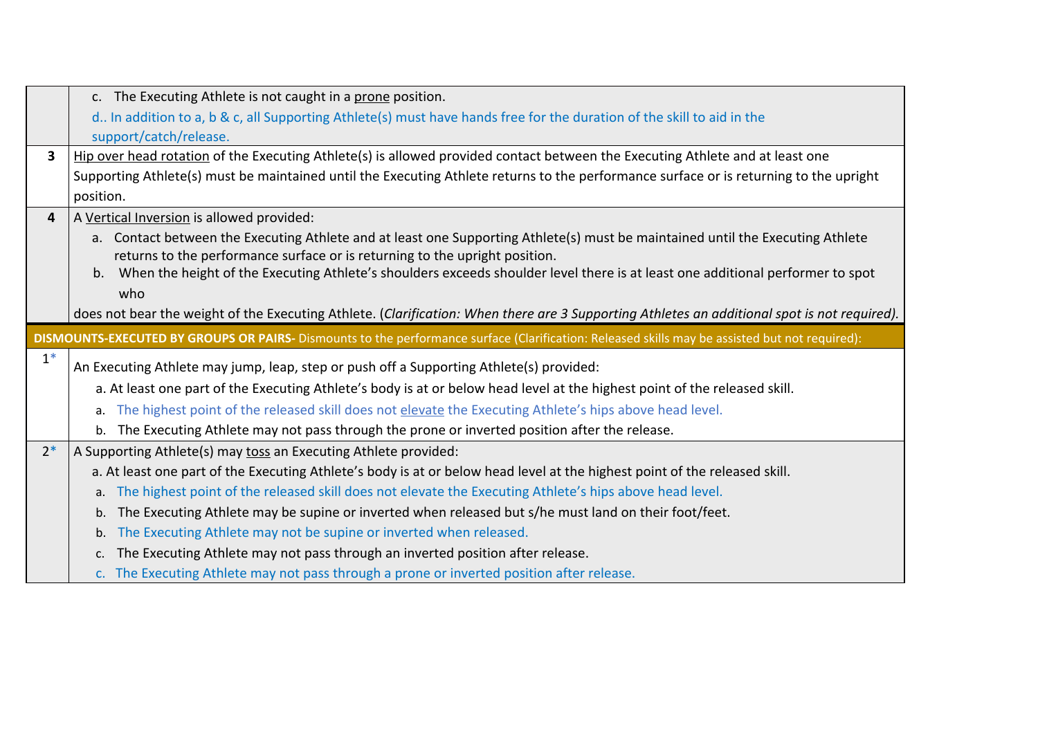|      | c. The Executing Athlete is not caught in a prone position.                                                                                    |
|------|------------------------------------------------------------------------------------------------------------------------------------------------|
|      | d In addition to a, b & c, all Supporting Athlete(s) must have hands free for the duration of the skill to aid in the                          |
|      | support/catch/release.                                                                                                                         |
| 3    | Hip over head rotation of the Executing Athlete(s) is allowed provided contact between the Executing Athlete and at least one                  |
|      | Supporting Athlete(s) must be maintained until the Executing Athlete returns to the performance surface or is returning to the upright         |
|      | position.                                                                                                                                      |
| 4    | A Vertical Inversion is allowed provided:                                                                                                      |
|      | a. Contact between the Executing Athlete and at least one Supporting Athlete(s) must be maintained until the Executing Athlete                 |
|      | returns to the performance surface or is returning to the upright position.                                                                    |
|      | When the height of the Executing Athlete's shoulders exceeds shoulder level there is at least one additional performer to spot<br>b.           |
|      | who                                                                                                                                            |
|      | does not bear the weight of the Executing Athlete. (Clarification: When there are 3 Supporting Athletes an additional spot is not required).   |
|      | DISMOUNTS-EXECUTED BY GROUPS OR PAIRS- Dismounts to the performance surface (Clarification: Released skills may be assisted but not required): |
| $1*$ | An Executing Athlete may jump, leap, step or push off a Supporting Athlete(s) provided:                                                        |
|      | a. At least one part of the Executing Athlete's body is at or below head level at the highest point of the released skill.                     |
|      | The highest point of the released skill does not elevate the Executing Athlete's hips above head level.<br>a.                                  |
|      | The Executing Athlete may not pass through the prone or inverted position after the release.<br>$b_{1}$                                        |
| $2*$ | A Supporting Athlete(s) may toss an Executing Athlete provided:                                                                                |
|      | a. At least one part of the Executing Athlete's body is at or below head level at the highest point of the released skill.                     |
|      |                                                                                                                                                |
|      | The highest point of the released skill does not elevate the Executing Athlete's hips above head level.<br>a.                                  |
|      | The Executing Athlete may be supine or inverted when released but s/he must land on their foot/feet.<br>b.                                     |
|      | The Executing Athlete may not be supine or inverted when released.<br>b.                                                                       |
|      | The Executing Athlete may not pass through an inverted position after release.<br>c.                                                           |
|      | c. The Executing Athlete may not pass through a prone or inverted position after release.                                                      |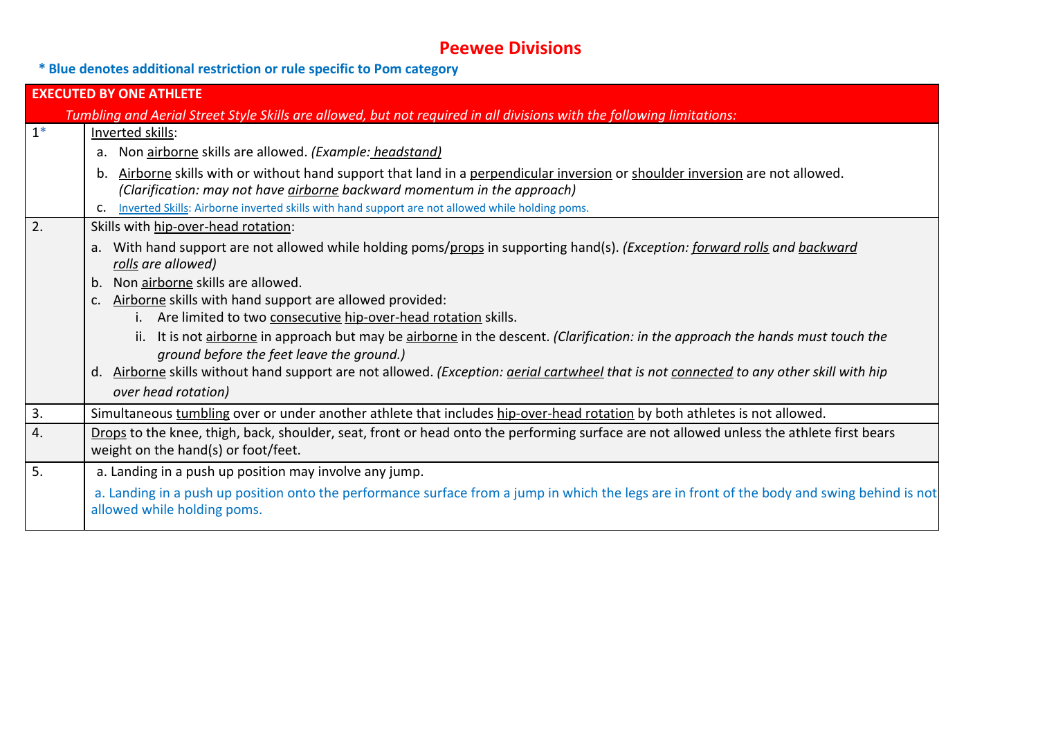## **Peewee Divisions**

**\* Blue denotes additional restriction or rule specific to Pom category**

| <b>EXECUTED BY ONE ATHLETE</b> |                                                                                                                                                                                                                     |  |
|--------------------------------|---------------------------------------------------------------------------------------------------------------------------------------------------------------------------------------------------------------------|--|
|                                | Tumbling and Aerial Street Style Skills are allowed, but not required in all divisions with the following limitations:                                                                                              |  |
| $1^*$                          | Inverted skills:                                                                                                                                                                                                    |  |
|                                | Non airborne skills are allowed. (Example: headstand)<br>a.                                                                                                                                                         |  |
|                                | Airborne skills with or without hand support that land in a perpendicular inversion or shoulder inversion are not allowed.<br>b.<br>(Clarification: may not have <i>airborne</i> backward momentum in the approach) |  |
|                                | Inverted Skills: Airborne inverted skills with hand support are not allowed while holding poms.<br>C.                                                                                                               |  |
| $\overline{2}$ .               | Skills with hip-over-head rotation:                                                                                                                                                                                 |  |
|                                | a. With hand support are not allowed while holding poms/props in supporting hand(s). (Exception: forward rolls and backward<br>rolls are allowed)                                                                   |  |
|                                | Non airborne skills are allowed.<br>b.                                                                                                                                                                              |  |
|                                | Airborne skills with hand support are allowed provided:                                                                                                                                                             |  |
|                                | i. Are limited to two consecutive hip-over-head rotation skills.                                                                                                                                                    |  |
|                                | ii. It is not airborne in approach but may be airborne in the descent. (Clarification: in the approach the hands must touch the<br>ground before the feet leave the ground.)                                        |  |
|                                | d. Airborne skills without hand support are not allowed. (Exception: gerial cartwheel that is not connected to any other skill with hip                                                                             |  |
|                                | over head rotation)                                                                                                                                                                                                 |  |
| 3.                             | Simultaneous tumbling over or under another athlete that includes hip-over-head rotation by both athletes is not allowed.                                                                                           |  |
| 4.                             | Drops to the knee, thigh, back, shoulder, seat, front or head onto the performing surface are not allowed unless the athlete first bears                                                                            |  |
|                                | weight on the hand(s) or foot/feet.                                                                                                                                                                                 |  |
| 5.                             | a. Landing in a push up position may involve any jump.                                                                                                                                                              |  |
|                                | a. Landing in a push up position onto the performance surface from a jump in which the legs are in front of the body and swing behind is not<br>allowed while holding poms.                                         |  |